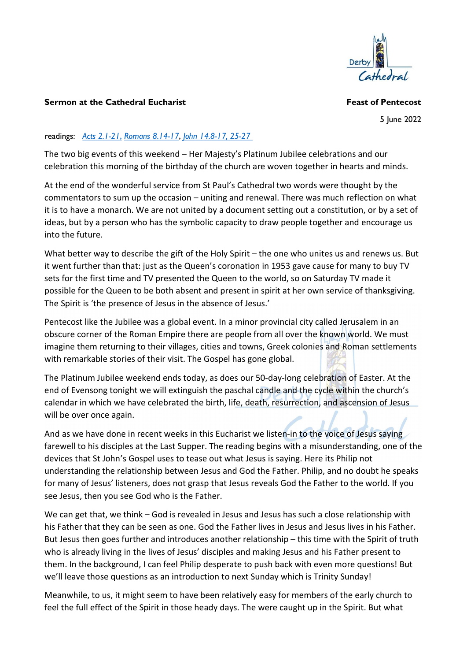

## Sermon at the Cathedral Eucharist **Feast of Pentecost** Feast of Pentecost

5 June 2022

## readings: Acts 2.1-21, Romans 8.14-17, John 14.8-17, 25-27

The two big events of this weekend – Her Majesty's Platinum Jubilee celebrations and our celebration this morning of the birthday of the church are woven together in hearts and minds.

At the end of the wonderful service from St Paul's Cathedral two words were thought by the commentators to sum up the occasion – uniting and renewal. There was much reflection on what it is to have a monarch. We are not united by a document setting out a constitution, or by a set of ideas, but by a person who has the symbolic capacity to draw people together and encourage us into the future.

What better way to describe the gift of the Holy Spirit – the one who unites us and renews us. But it went further than that: just as the Queen's coronation in 1953 gave cause for many to buy TV sets for the first time and TV presented the Queen to the world, so on Saturday TV made it possible for the Queen to be both absent and present in spirit at her own service of thanksgiving. The Spirit is 'the presence of Jesus in the absence of Jesus.'

Pentecost like the Jubilee was a global event. In a minor provincial city called Jerusalem in an obscure corner of the Roman Empire there are people from all over the known world. We must imagine them returning to their villages, cities and towns, Greek colonies and Roman settlements with remarkable stories of their visit. The Gospel has gone global.

The Platinum Jubilee weekend ends today, as does our 50-day-long celebration of Easter. At the end of Evensong tonight we will extinguish the paschal candle and the cycle within the church's calendar in which we have celebrated the birth, life, death, resurrection, and ascension of Jesus will be over once again.

And as we have done in recent weeks in this Eucharist we listen-in to the voice of Jesus saying farewell to his disciples at the Last Supper. The reading begins with a misunderstanding, one of the devices that St John's Gospel uses to tease out what Jesus is saying. Here its Philip not understanding the relationship between Jesus and God the Father. Philip, and no doubt he speaks for many of Jesus' listeners, does not grasp that Jesus reveals God the Father to the world. If you see Jesus, then you see God who is the Father.

We can get that, we think – God is revealed in Jesus and Jesus has such a close relationship with his Father that they can be seen as one. God the Father lives in Jesus and Jesus lives in his Father. But Jesus then goes further and introduces another relationship – this time with the Spirit of truth who is already living in the lives of Jesus' disciples and making Jesus and his Father present to them. In the background, I can feel Philip desperate to push back with even more questions! But we'll leave those questions as an introduction to next Sunday which is Trinity Sunday!

Meanwhile, to us, it might seem to have been relatively easy for members of the early church to feel the full effect of the Spirit in those heady days. The were caught up in the Spirit. But what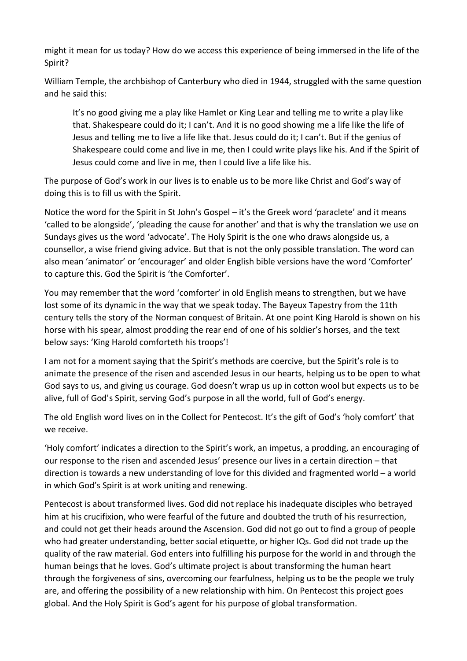might it mean for us today? How do we access this experience of being immersed in the life of the Spirit?

William Temple, the archbishop of Canterbury who died in 1944, struggled with the same question and he said this:

It's no good giving me a play like Hamlet or King Lear and telling me to write a play like that. Shakespeare could do it; I can't. And it is no good showing me a life like the life of Jesus and telling me to live a life like that. Jesus could do it; I can't. But if the genius of Shakespeare could come and live in me, then I could write plays like his. And if the Spirit of Jesus could come and live in me, then I could live a life like his.

The purpose of God's work in our lives is to enable us to be more like Christ and God's way of doing this is to fill us with the Spirit.

Notice the word for the Spirit in St John's Gospel – it's the Greek word 'paraclete' and it means 'called to be alongside', 'pleading the cause for another' and that is why the translation we use on Sundays gives us the word 'advocate'. The Holy Spirit is the one who draws alongside us, a counsellor, a wise friend giving advice. But that is not the only possible translation. The word can also mean 'animator' or 'encourager' and older English bible versions have the word 'Comforter' to capture this. God the Spirit is 'the Comforter'.

You may remember that the word 'comforter' in old English means to strengthen, but we have lost some of its dynamic in the way that we speak today. The Bayeux Tapestry from the 11th century tells the story of the Norman conquest of Britain. At one point King Harold is shown on his horse with his spear, almost prodding the rear end of one of his soldier's horses, and the text below says: 'King Harold comforteth his troops'!

I am not for a moment saying that the Spirit's methods are coercive, but the Spirit's role is to animate the presence of the risen and ascended Jesus in our hearts, helping us to be open to what God says to us, and giving us courage. God doesn't wrap us up in cotton wool but expects us to be alive, full of God's Spirit, serving God's purpose in all the world, full of God's energy.

The old English word lives on in the Collect for Pentecost. It's the gift of God's 'holy comfort' that we receive.

'Holy comfort' indicates a direction to the Spirit's work, an impetus, a prodding, an encouraging of our response to the risen and ascended Jesus' presence our lives in a certain direction – that direction is towards a new understanding of love for this divided and fragmented world – a world in which God's Spirit is at work uniting and renewing.

Pentecost is about transformed lives. God did not replace his inadequate disciples who betrayed him at his crucifixion, who were fearful of the future and doubted the truth of his resurrection, and could not get their heads around the Ascension. God did not go out to find a group of people who had greater understanding, better social etiquette, or higher IQs. God did not trade up the quality of the raw material. God enters into fulfilling his purpose for the world in and through the human beings that he loves. God's ultimate project is about transforming the human heart through the forgiveness of sins, overcoming our fearfulness, helping us to be the people we truly are, and offering the possibility of a new relationship with him. On Pentecost this project goes global. And the Holy Spirit is God's agent for his purpose of global transformation.